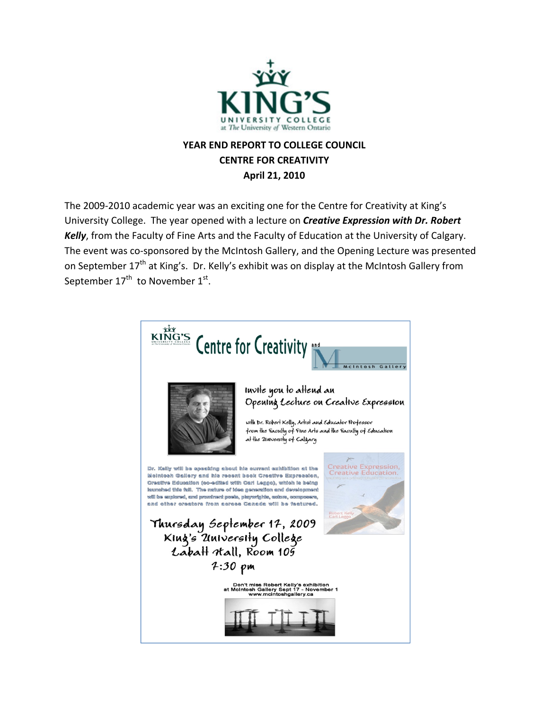

## **YEAR END REPORT TO COLLEGE COUNCIL CENTRE FOR CREATIVITY April 21, 2010**

The 2009‐2010 academic year was an exciting one for the Centre for Creativity at King's University College. The year opened with a lecture on *Creative Expression with Dr. Robert Kelly*, from the Faculty of Fine Arts and the Faculty of Education at the University of Calgary. The event was co-sponsored by the McIntosh Gallery, and the Opening Lecture was presented on September 17<sup>th</sup> at King's. Dr. Kelly's exhibit was on display at the McIntosh Gallery from September  $17^{th}$  to November  $1^{st}$ .

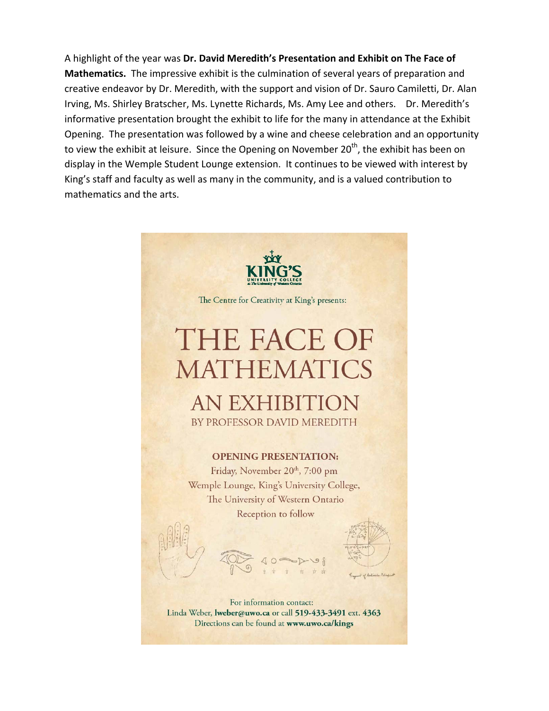A highlight of the year was **Dr. David Meredith's Presentation and Exhibit on The Face of Mathematics.** The impressive exhibit is the culmination of several years of preparation and creative endeavor by Dr. Meredith, with the support and vision of Dr. Sauro Camiletti, Dr. Alan Irving, Ms. Shirley Bratscher, Ms. Lynette Richards, Ms. Amy Lee and others. Dr. Meredith's informative presentation brought the exhibit to life for the many in attendance at the Exhibit Opening. The presentation was followed by a wine and cheese celebration and an opportunity to view the exhibit at leisure. Since the Opening on November 20<sup>th</sup>, the exhibit has been on display in the Wemple Student Lounge extension. It continues to be viewed with interest by King's staff and faculty as well as many in the community, and is a valued contribution to mathematics and the arts.

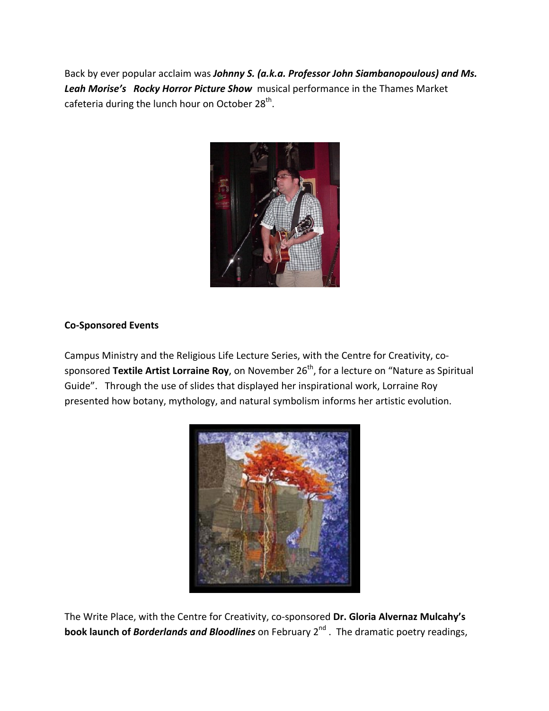Back by ever popular acclaim was *Johnny S. (a.k.a. Professor John Siambanopoulous) and Ms. Leah Morise's Rocky Horror Picture Show* musical performance in the Thames Market cafeteria during the lunch hour on October 28<sup>th</sup>.



## **Co‐Sponsored Events**

Campus Ministry and the Religious Life Lecture Series, with the Centre for Creativity, co‐ sponsored **Textile Artist Lorraine Roy**, on November 26th, for a lecture on "Nature as Spiritual Guide". Through the use of slides that displayed her inspirational work, Lorraine Roy presented how botany, mythology, and natural symbolism informs her artistic evolution.



The Write Place, with the Centre for Creativity, co‐sponsored **Dr. Gloria Alvernaz Mulcahy's book launch of** *Borderlands and Bloodlines* on February 2nd . The dramatic poetry readings,